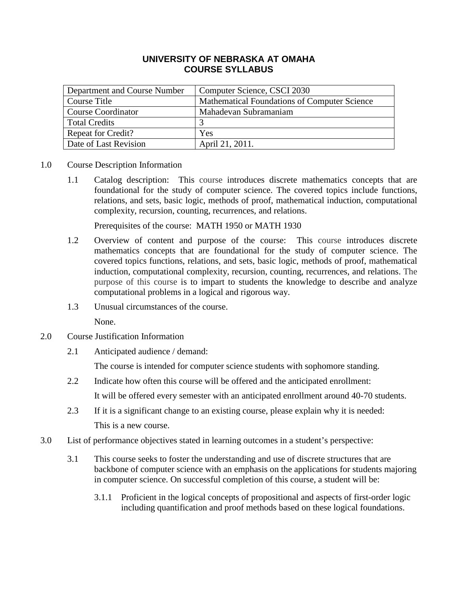## **UNIVERSITY OF NEBRASKA AT OMAHA COURSE SYLLABUS**

| Department and Course Number | Computer Science, CSCI 2030                  |
|------------------------------|----------------------------------------------|
| Course Title                 | Mathematical Foundations of Computer Science |
| <b>Course Coordinator</b>    | Mahadevan Subramaniam                        |
| <b>Total Credits</b>         |                                              |
| <b>Repeat for Credit?</b>    | Yes                                          |
| Date of Last Revision        | April 21, 2011.                              |

- 1.0 Course Description Information
	- 1.1 Catalog description: This course introduces discrete mathematics concepts that are foundational for the study of computer science. The covered topics include functions, relations, and sets, basic logic, methods of proof, mathematical induction, computational complexity, recursion, counting, recurrences, and relations.

Prerequisites of the course: MATH 1950 or MATH 1930

- 1.2 Overview of content and purpose of the course: This course introduces discrete mathematics concepts that are foundational for the study of computer science. The covered topics functions, relations, and sets, basic logic, methods of proof, mathematical induction, computational complexity, recursion, counting, recurrences, and relations. The purpose of this course is to impart to students the knowledge to describe and analyze computational problems in a logical and rigorous way.
- 1.3 Unusual circumstances of the course.

None.

- 2.0 Course Justification Information
	- 2.1 Anticipated audience / demand:

The course is intended for computer science students with sophomore standing.

- 2.2 Indicate how often this course will be offered and the anticipated enrollment: It will be offered every semester with an anticipated enrollment around 40-70 students.
- 2.3 If it is a significant change to an existing course, please explain why it is needed: This is a new course.
- 3.0 List of performance objectives stated in learning outcomes in a student's perspective:
	- 3.1 This course seeks to foster the understanding and use of discrete structures that are backbone of computer science with an emphasis on the applications for students majoring in computer science. On successful completion of this course, a student will be:
		- 3.1.1 Proficient in the logical concepts of propositional and aspects of first-order logic including quantification and proof methods based on these logical foundations.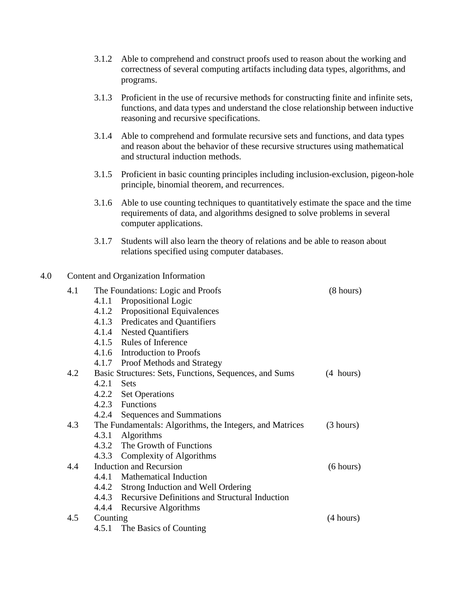- 3.1.2 Able to comprehend and construct proofs used to reason about the working and correctness of several computing artifacts including data types, algorithms, and programs.
- 3.1.3 Proficient in the use of recursive methods for constructing finite and infinite sets, functions, and data types and understand the close relationship between inductive reasoning and recursive specifications.
- 3.1.4 Able to comprehend and formulate recursive sets and functions, and data types and reason about the behavior of these recursive structures using mathematical and structural induction methods.
- 3.1.5 Proficient in basic counting principles including inclusion-exclusion, pigeon-hole principle, binomial theorem, and recurrences.
- 3.1.6 Able to use counting techniques to quantitatively estimate the space and the time requirements of data, and algorithms designed to solve problems in several computer applications.
- 3.1.7 Students will also learn the theory of relations and be able to reason about relations specified using computer databases.

## 4.0 Content and Organization Information

| 4.1 |                                                        | The Foundations: Logic and Proofs                        | $(8 \text{ hours})$ |
|-----|--------------------------------------------------------|----------------------------------------------------------|---------------------|
|     |                                                        | 4.1.1 Propositional Logic                                |                     |
|     |                                                        | 4.1.2 Propositional Equivalences                         |                     |
|     |                                                        | 4.1.3 Predicates and Quantifiers                         |                     |
|     |                                                        | 4.1.4 Nested Quantifiers                                 |                     |
|     |                                                        | 4.1.5 Rules of Inference                                 |                     |
|     |                                                        | 4.1.6 Introduction to Proofs                             |                     |
|     |                                                        | 4.1.7 Proof Methods and Strategy                         |                     |
| 4.2 | Basic Structures: Sets, Functions, Sequences, and Sums | $(4 \text{ hours})$                                      |                     |
|     | $4.2.1$ Sets                                           |                                                          |                     |
|     |                                                        | 4.2.2 Set Operations                                     |                     |
|     |                                                        | 4.2.3 Functions                                          |                     |
|     |                                                        | 4.2.4 Sequences and Summations                           |                     |
| 4.3 |                                                        | The Fundamentals: Algorithms, the Integers, and Matrices | (3 hours)           |
|     |                                                        | 4.3.1 Algorithms                                         |                     |
|     |                                                        | 4.3.2 The Growth of Functions                            |                     |
|     |                                                        | 4.3.3 Complexity of Algorithms                           |                     |
| 4.4 |                                                        | <b>Induction and Recursion</b>                           | (6 hours)           |
|     |                                                        | 4.4.1 Mathematical Induction                             |                     |
|     |                                                        | 4.4.2 Strong Induction and Well Ordering                 |                     |
|     |                                                        | 4.4.3 Recursive Definitions and Structural Induction     |                     |
|     |                                                        | 4.4.4 Recursive Algorithms                               |                     |
| 4.5 | Counting                                               |                                                          | (4 hours)           |
|     |                                                        | 4.5.1 The Basics of Counting                             |                     |
|     |                                                        |                                                          |                     |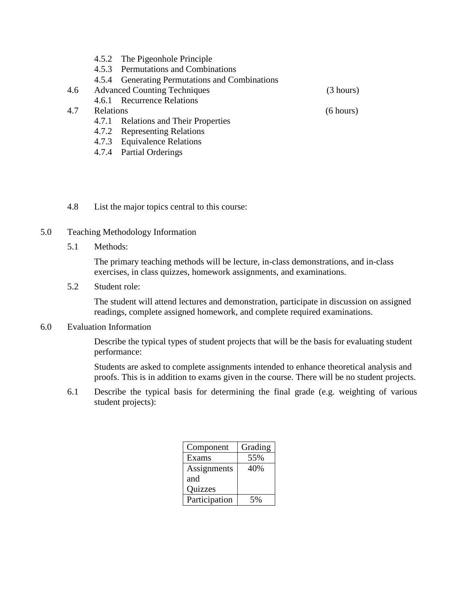- 4.5.2 The Pigeonhole Principle
- 4.5.3 Permutations and Combinations
- 4.5.4 Generating Permutations and Combinations
- 4.6 Advanced Counting Techniques (3 hours)
	- 4.6.1 Recurrence Relations
- 4.7 Relations (6 hours)
	- 4.7.1 Relations and Their Properties
	- 4.7.2 Representing Relations
	- 4.7.3 Equivalence Relations
	- 4.7.4 Partial Orderings

4.8 List the major topics central to this course:

- 5.0 Teaching Methodology Information
	- 5.1 Methods:

The primary teaching methods will be lecture, in-class demonstrations, and in-class exercises, in class quizzes, homework assignments, and examinations.

5.2 Student role:

The student will attend lectures and demonstration, participate in discussion on assigned readings, complete assigned homework, and complete required examinations.

## 6.0 Evaluation Information

Describe the typical types of student projects that will be the basis for evaluating student performance:

Students are asked to complete assignments intended to enhance theoretical analysis and proofs. This is in addition to exams given in the course. There will be no student projects.

6.1 Describe the typical basis for determining the final grade (e.g. weighting of various student projects):

| Component      | Grading |
|----------------|---------|
| Exams          | 55%     |
| Assignments    | 40%     |
| and            |         |
| <b>Quizzes</b> |         |
| Participation  |         |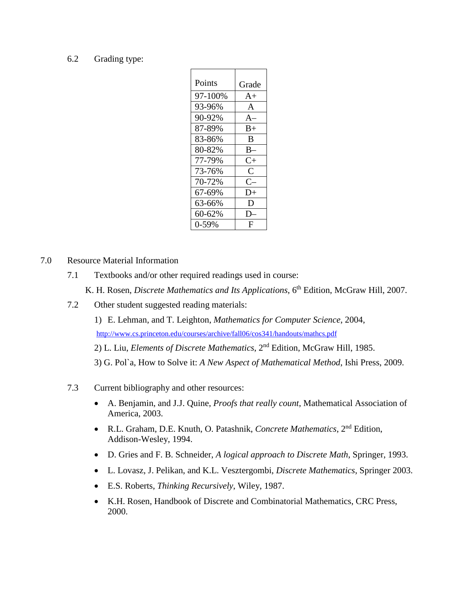#### 6.2 Grading type:

| Points  | Grade        |
|---------|--------------|
| 97-100% | $A+$         |
| 93-96%  | $\mathsf{A}$ |
| 90-92%  | $A-$         |
| 87-89%  | $B+$         |
| 83-86%  | B            |
| 80-82%  | $B -$        |
| 77-79%  | $C+$         |
| 73-76%  | $\mathsf{C}$ |
| 70-72%  | $C-$         |
| 67-69%  | D+           |
| 63-66%  | D            |
| 60-62%  | D.           |
| $0-59%$ | F            |

7.0 Resource Material Information

- 7.1 Textbooks and/or other required readings used in course:
	- K. H. Rosen, *Discrete Mathematics and Its Applications*, 6<sup>th</sup> Edition, McGraw Hill, 2007.
- 7.2 Other student suggested reading materials:

1) E. Lehman, and T. Leighton, *Mathematics for Computer Science*, 2004, <http://www.cs.princeton.edu/courses/archive/fall06/cos341/handouts/mathcs.pdf>

2) L. Liu, *Elements of Discrete Mathematics*, 2nd Edition, McGraw Hill, 1985.

3) G. Pol`a, How to Solve it: *A New Aspect of Mathematical Method*, Ishi Press, 2009.

- 7.3 Current bibliography and other resources:
	- A. Benjamin, and J.J. Quine, *Proofs that really count*, Mathematical Association of America, 2003.
	- R.L. Graham, D.E. Knuth, O. Patashnik, *Concrete Mathematics*, 2nd Edition, Addison-Wesley, 1994.
	- D. Gries and F. B. Schneider, *A logical approach to Discrete Math*, Springer, 1993.
	- L. Lovasz, J. Pelikan, and K.L. Vesztergombi, *Discrete Mathematics*, Springer 2003.
	- E.S. Roberts, *Thinking Recursively*, Wiley, 1987.
	- K.H. Rosen, Handbook of Discrete and Combinatorial Mathematics, CRC Press, 2000.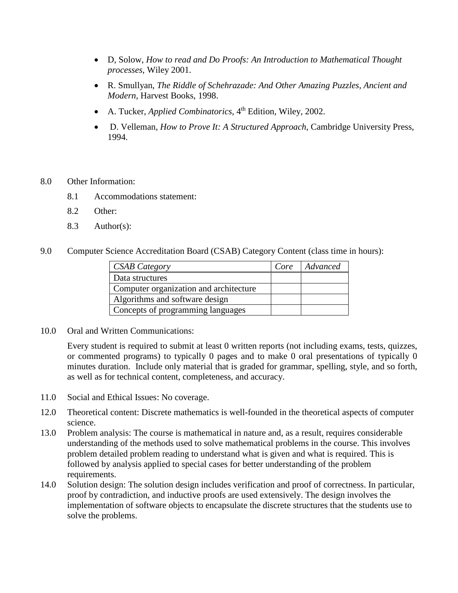- D, Solow, *How to read and Do Proofs: An Introduction to Mathematical Thought processes*, Wiley 2001.
- R. Smullyan, *The Riddle of Schehrazade: And Other Amazing Puzzles, Ancient and Modern*, Harvest Books, 1998.
- A. Tucker, *Applied Combinatorics*, 4<sup>th</sup> Edition, Wiley, 2002.
- D. Velleman, *How to Prove It: A Structured Approach*, Cambridge University Press, 1994.
- 8.0 Other Information:
	- 8.1 Accommodations statement:
	- 8.2 Other:
	- 8.3 Author(s):

9.0 Computer Science Accreditation Board (CSAB) Category Content (class time in hours):

| <b>CSAB Category</b>                   | Core | Advanced |
|----------------------------------------|------|----------|
| Data structures                        |      |          |
| Computer organization and architecture |      |          |
| Algorithms and software design         |      |          |
| Concepts of programming languages      |      |          |

10.0 Oral and Written Communications:

Every student is required to submit at least 0 written reports (not including exams, tests, quizzes, or commented programs) to typically 0 pages and to make 0 oral presentations of typically 0 minutes duration. Include only material that is graded for grammar, spelling, style, and so forth, as well as for technical content, completeness, and accuracy.

- 11.0 Social and Ethical Issues: No coverage.
- 12.0 Theoretical content: Discrete mathematics is well-founded in the theoretical aspects of computer science.
- 13.0 Problem analysis: The course is mathematical in nature and, as a result, requires considerable understanding of the methods used to solve mathematical problems in the course. This involves problem detailed problem reading to understand what is given and what is required. This is followed by analysis applied to special cases for better understanding of the problem requirements.
- 14.0 Solution design: The solution design includes verification and proof of correctness. In particular, proof by contradiction, and inductive proofs are used extensively. The design involves the implementation of software objects to encapsulate the discrete structures that the students use to solve the problems.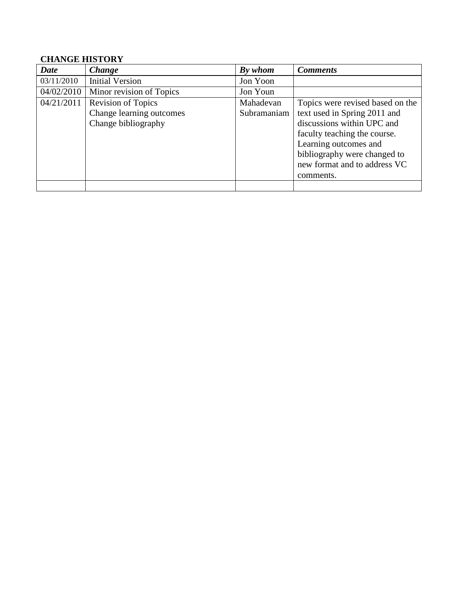# **CHANGE HISTORY**

| <b>Date</b> | <b>Change</b>             | By whom     | <b>Comments</b>                  |
|-------------|---------------------------|-------------|----------------------------------|
| 03/11/2010  | <b>Initial Version</b>    | Jon Yoon    |                                  |
| 04/02/2010  | Minor revision of Topics  | Jon Youn    |                                  |
| 04/21/2011  | <b>Revision of Topics</b> | Mahadevan   | Topics were revised based on the |
|             | Change learning outcomes  | Subramaniam | text used in Spring 2011 and     |
|             | Change bibliography       |             | discussions within UPC and       |
|             |                           |             | faculty teaching the course.     |
|             |                           |             | Learning outcomes and            |
|             |                           |             | bibliography were changed to     |
|             |                           |             | new format and to address VC     |
|             |                           |             | comments.                        |
|             |                           |             |                                  |